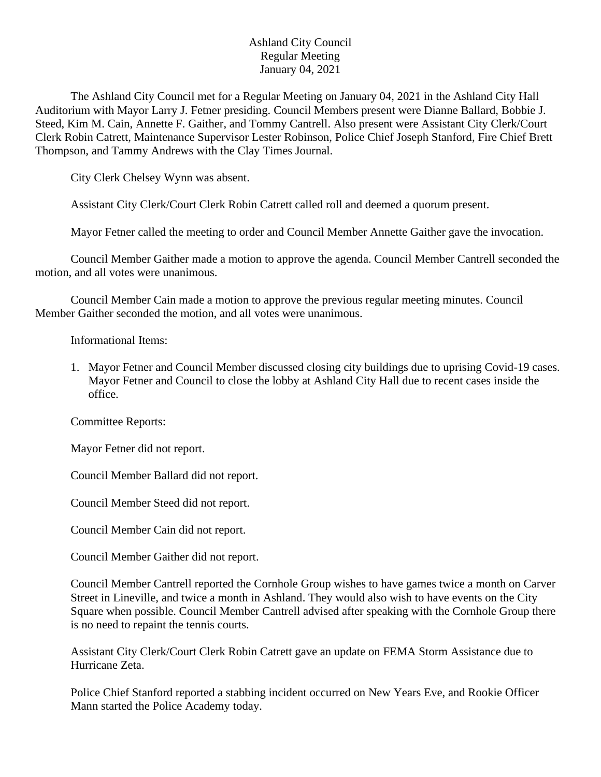## Ashland City Council Regular Meeting January 04, 2021

The Ashland City Council met for a Regular Meeting on January 04, 2021 in the Ashland City Hall Auditorium with Mayor Larry J. Fetner presiding. Council Members present were Dianne Ballard, Bobbie J. Steed, Kim M. Cain, Annette F. Gaither, and Tommy Cantrell. Also present were Assistant City Clerk/Court Clerk Robin Catrett, Maintenance Supervisor Lester Robinson, Police Chief Joseph Stanford, Fire Chief Brett Thompson, and Tammy Andrews with the Clay Times Journal.

City Clerk Chelsey Wynn was absent.

Assistant City Clerk/Court Clerk Robin Catrett called roll and deemed a quorum present.

Mayor Fetner called the meeting to order and Council Member Annette Gaither gave the invocation.

Council Member Gaither made a motion to approve the agenda. Council Member Cantrell seconded the motion, and all votes were unanimous.

Council Member Cain made a motion to approve the previous regular meeting minutes. Council Member Gaither seconded the motion, and all votes were unanimous.

Informational Items:

1. Mayor Fetner and Council Member discussed closing city buildings due to uprising Covid-19 cases. Mayor Fetner and Council to close the lobby at Ashland City Hall due to recent cases inside the office.

Committee Reports:

Mayor Fetner did not report.

Council Member Ballard did not report.

Council Member Steed did not report.

Council Member Cain did not report.

Council Member Gaither did not report.

Council Member Cantrell reported the Cornhole Group wishes to have games twice a month on Carver Street in Lineville, and twice a month in Ashland. They would also wish to have events on the City Square when possible. Council Member Cantrell advised after speaking with the Cornhole Group there is no need to repaint the tennis courts.

Assistant City Clerk/Court Clerk Robin Catrett gave an update on FEMA Storm Assistance due to Hurricane Zeta.

Police Chief Stanford reported a stabbing incident occurred on New Years Eve, and Rookie Officer Mann started the Police Academy today.